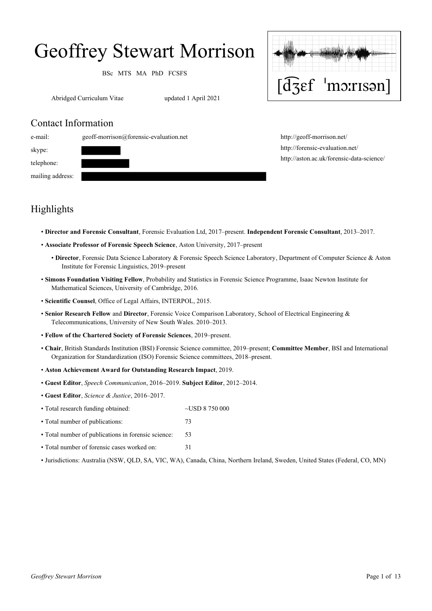# Geoffrey Stewart Morrison

BSc MTS MA PhD FCSFS

Abridged Curriculum Vitae updated 1 April 2021



## Contact Information



http://geoff-morrison.net/ http://forensic-evaluation.net/ http://aston.ac.uk/forensic-data-science/

# Highlights

- **Director and Forensic Consultant**, Forensic Evaluation Ltd, 2017–present. **Independent Forensic Consultant**, 2013–2017.
- **Associate Professor of Forensic Speech Science**, Aston University, 2017–present
	- **Director**, Forensic Data Science Laboratory & Forensic Speech Science Laboratory, Department of Computer Science & Aston Institute for Forensic Linguistics, 2019–present
- **Simons Foundation Visiting Fellow**, Probability and Statistics in Forensic Science Programme, Isaac Newton Institute for Mathematical Sciences, University of Cambridge, 2016.
- **Scientific Counsel**, Office of Legal Affairs, INTERPOL, 2015.
- **Senior Research Fellow** and **Director**, Forensic Voice Comparison Laboratory, School of Electrical Engineering & Telecommunications, University of New South Wales. 2010–2013.
- **Fellow of the Chartered Society of Forensic Sciences**, 2019–present.
- **Chair**, British Standards Institution (BSI) Forensic Science committee, 2019–present; **Committee Member**, BSI and International Organization for Standardization (ISO) Forensic Science committees, 2018–present.
- **Aston Achievement Award for Outstanding Research Impact**, 2019.
- **Guest Editor**, *Speech Communication*, 2016–2019. **Subject Editor**, 2012–2014.
- **Guest Editor**, *Science & Justice*, 2016–2017.
- Total research funding obtained: ~USD 8 750 000
- Total number of publications: 73
- Total number of publications in forensic science: 53
- Total number of forensic cases worked on: 31
- Jurisdictions: Australia (NSW, QLD, SA, VIC, WA), Canada, China, Northern Ireland, Sweden, United States (Federal, CO, MN)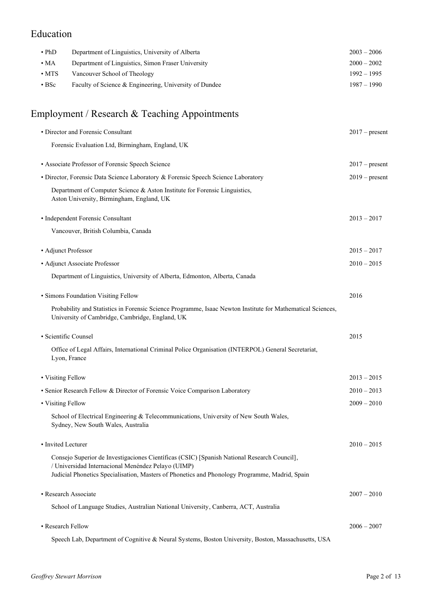# Education

| $\cdot$ PhD              | Department of Linguistics, University of Alberta       | $2003 - 2006$ |
|--------------------------|--------------------------------------------------------|---------------|
| $\cdot$ MA               | Department of Linguistics, Simon Fraser University     | $2000 - 2002$ |
| $\boldsymbol{\cdot}$ MTS | Vancouver School of Theology                           | $1992 - 1995$ |
| $\cdot$ BSc              | Faculty of Science & Engineering, University of Dundee | $1987 - 1990$ |

# Employment / Research & Teaching Appointments

| • Director and Forensic Consultant                                                                                                                                                                                                                  | $2017$ – present |
|-----------------------------------------------------------------------------------------------------------------------------------------------------------------------------------------------------------------------------------------------------|------------------|
| Forensic Evaluation Ltd, Birmingham, England, UK                                                                                                                                                                                                    |                  |
| • Associate Professor of Forensic Speech Science                                                                                                                                                                                                    | $2017 -$ present |
| • Director, Forensic Data Science Laboratory & Forensic Speech Science Laboratory                                                                                                                                                                   | $2019$ – present |
| Department of Computer Science & Aston Institute for Forensic Linguistics,<br>Aston University, Birmingham, England, UK                                                                                                                             |                  |
| • Independent Forensic Consultant                                                                                                                                                                                                                   | $2013 - 2017$    |
| Vancouver, British Columbia, Canada                                                                                                                                                                                                                 |                  |
| • Adjunct Professor                                                                                                                                                                                                                                 | $2015 - 2017$    |
| · Adjunct Associate Professor                                                                                                                                                                                                                       | $2010 - 2015$    |
| Department of Linguistics, University of Alberta, Edmonton, Alberta, Canada                                                                                                                                                                         |                  |
| • Simons Foundation Visiting Fellow                                                                                                                                                                                                                 | 2016             |
| Probability and Statistics in Forensic Science Programme, Isaac Newton Institute for Mathematical Sciences,<br>University of Cambridge, Cambridge, England, UK                                                                                      |                  |
| · Scientific Counsel                                                                                                                                                                                                                                | 2015             |
| Office of Legal Affairs, International Criminal Police Organisation (INTERPOL) General Secretariat,<br>Lyon, France                                                                                                                                 |                  |
| • Visiting Fellow                                                                                                                                                                                                                                   | $2013 - 2015$    |
| • Senior Research Fellow & Director of Forensic Voice Comparison Laboratory                                                                                                                                                                         | $2010 - 2013$    |
| • Visiting Fellow                                                                                                                                                                                                                                   | $2009 - 2010$    |
| School of Electrical Engineering & Telecommunications, University of New South Wales,<br>Sydney, New South Wales, Australia                                                                                                                         |                  |
| • Invited Lecturer                                                                                                                                                                                                                                  | $2010 - 2015$    |
| Consejo Superior de Investigaciones Científicas (CSIC) [Spanish National Research Council],<br>/ Universidad Internacional Menéndez Pelayo (UIMP)<br>Judicial Phonetics Specialisation, Masters of Phonetics and Phonology Programme, Madrid, Spain |                  |
| · Research Associate                                                                                                                                                                                                                                | $2007 - 2010$    |
| School of Language Studies, Australian National University, Canberra, ACT, Australia                                                                                                                                                                |                  |
| • Research Fellow                                                                                                                                                                                                                                   | $2006 - 2007$    |
| Speech Lab, Department of Cognitive & Neural Systems, Boston University, Boston, Massachusetts, USA                                                                                                                                                 |                  |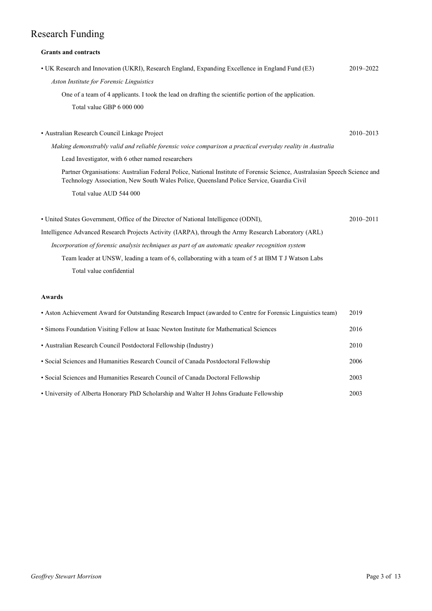# Research Funding

## **Grants and contracts**

| • UK Research and Innovation (UKRI), Research England, Expanding Excellence in England Fund (E3)                                                                                                                      | 2019-2022     |  |
|-----------------------------------------------------------------------------------------------------------------------------------------------------------------------------------------------------------------------|---------------|--|
| Aston Institute for Forensic Linguistics                                                                                                                                                                              |               |  |
| One of a team of 4 applicants. I took the lead on drafting the scientific portion of the application.                                                                                                                 |               |  |
| Total value GBP 6 000 000                                                                                                                                                                                             |               |  |
|                                                                                                                                                                                                                       |               |  |
| · Australian Research Council Linkage Project                                                                                                                                                                         | $2010 - 2013$ |  |
| Making demonstrably valid and reliable forensic voice comparison a practical everyday reality in Australia                                                                                                            |               |  |
| Lead Investigator, with 6 other named researchers                                                                                                                                                                     |               |  |
| Partner Organisations: Australian Federal Police, National Institute of Forensic Science, Australasian Speech Science and<br>Technology Association, New South Wales Police, Queensland Police Service, Guardia Civil |               |  |
| Total value AUD 544 000                                                                                                                                                                                               |               |  |
| • United States Government, Office of the Director of National Intelligence (ODNI),                                                                                                                                   | 2010-2011     |  |
| Intelligence Advanced Research Projects Activity (IARPA), through the Army Research Laboratory (ARL)                                                                                                                  |               |  |
| Incorporation of forensic analysis techniques as part of an automatic speaker recognition system                                                                                                                      |               |  |
| Team leader at UNSW, leading a team of 6, collaborating with a team of 5 at IBM T J Watson Labs                                                                                                                       |               |  |
| Total value confidential                                                                                                                                                                                              |               |  |
|                                                                                                                                                                                                                       |               |  |

### **Awards**

| • Aston Achievement Award for Outstanding Research Impact (awarded to Centre for Forensic Linguistics team) | 2019 |
|-------------------------------------------------------------------------------------------------------------|------|
| • Simons Foundation Visiting Fellow at Isaac Newton Institute for Mathematical Sciences                     | 2016 |
| • Australian Research Council Postdoctoral Fellowship (Industry)                                            | 2010 |
| • Social Sciences and Humanities Research Council of Canada Postdoctoral Fellowship                         | 2006 |
| • Social Sciences and Humanities Research Council of Canada Doctoral Fellowship                             | 2003 |
| • University of Alberta Honorary PhD Scholarship and Walter H Johns Graduate Fellowship                     | 2003 |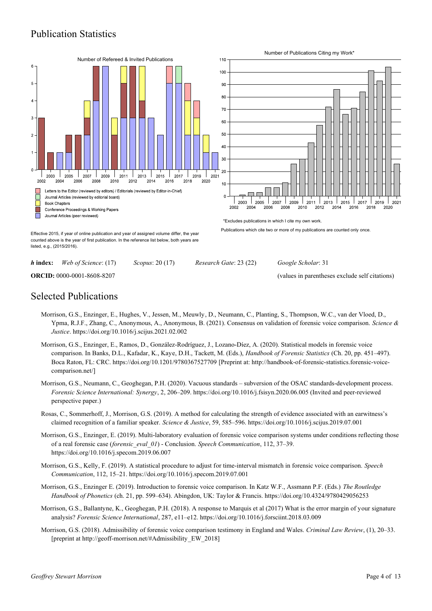## Publication Statistics



*h* **index:** *Web of Science*: (17) *Scopus*: 20 (17) *Research Gate*: 23 (22) *Google Scholar*: 31

**ORCID:** 0000-0001-8608-8207 (values in parentheses exclude self citations)

## Selected Publications

- Morrison, G.S., Enzinger, E., Hughes, V., Jessen, M., Meuwly, D., Neumann, C., Planting, S., Thompson, W.C., van der Vloed, D., Ypma, R.J.F., Zhang, C., Anonymous, A., Anonymous, B. (2021). Consensus on validation of forensic voice comparison. *Science & Justice*. https://doi.org/10.1016/j.scijus.2021.02.002
- Morrison, G.S., Enzinger, E., Ramos, D., González-Rodríguez, J., Lozano-Díez, A. (2020). Statistical models in forensic voice comparison. In Banks, D.L., Kafadar, K., Kaye, D.H., Tackett, M. (Eds.), *Handbook of Forensic Statistics* (Ch. 20, pp. 451–497). Boca Raton, FL: CRC. https://doi.org/10.1201/9780367527709 [Preprint at: http://handbook-of-forensic-statistics.forensic-voicecomparison.net/]
- Morrison, G.S., Neumann, C., Geoghegan, P.H. (2020). Vacuous standards subversion of the OSAC standards-development process. *Forensic Science International: Synergy*, 2, 206–209. https://doi.org/10.1016/j.fsisyn.2020.06.005 (Invited and peer-reviewed perspective paper.)
- Rosas, C., Sommerhoff, J., Morrison, G.S. (2019). A method for calculating the strength of evidence associated with an earwitness's claimed recognition of a familiar speaker. *Science & Justice*, 59, 585–596. https://doi.org/10.1016/j.scijus.2019.07.001
- Morrison, G.S., Enzinger, E. (2019). Multi-laboratory evaluation of forensic voice comparison systems under conditions reflecting those of a real forensic case (*forensic\_eval\_01*) - Conclusion. *Speech Communication*, 112, 37–39. https://doi.org/10.1016/j.specom.2019.06.007
- Morrison, G.S., Kelly, F. (2019). A statistical procedure to adjust for time-interval mismatch in forensic voice comparison. *Speech Communication*, 112, 15–21. https://doi.org/10.1016/j.specom.2019.07.001
- Morrison, G.S., Enzinger E. (2019). Introduction to forensic voice comparison. In Katz W.F., Assmann P.F. (Eds.) *The Routledge Handbook of Phonetics* (ch. 21, pp. 599–634). Abingdon, UK: Taylor & Francis. https://doi.org/10.4324/9780429056253
- Morrison, G.S., Ballantyne, K., Geoghegan, P.H. (2018). A response to Marquis et al (2017) What is the error margin of your signature analysis? *Forensic Science International*, 287, e11–e12. https://doi.org/10.1016/j.forsciint.2018.03.009
- Morrison, G.S. (2018). Admissibility of forensic voice comparison testimony in England and Wales. *Criminal Law Review*, (1), 20–33. [preprint at http://geoff-morrison.net/#Admissibility\_EW\_2018]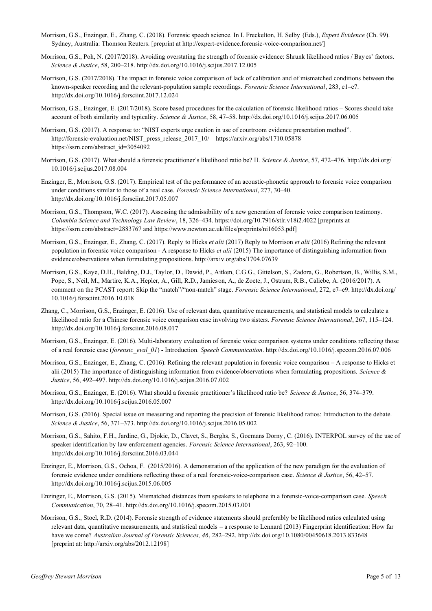- Morrison, G.S., Enzinger, E., Zhang, C. (2018). Forensic speech science. In I. Freckelton, H. Selby (Eds.), *Expert Evidence* (Ch. 99). Sydney, Australia: Thomson Reuters. [preprint at http://expert-evidence.forensic-voice-comparison.net/]
- Morrison, G.S., Poh, N. (2017/2018). Avoiding overstating the strength of forensic evidence: Shrunk likelihood ratios / Bay es' factors. *Science & Justice*, 58, 200–218. http://dx.doi.org/10.1016/j.scijus.2017.12.005
- Morrison, G.S. (2017/2018). The impact in forensic voice comparison of lack of calibration and of mismatched conditions between the known-speaker recording and the relevant-population sample recordings. *Forensic Science International*, 283, e1–e7. http://dx.doi.org/10.1016/j.forsciint.2017.12.024
- Morrison, G.S., Enzinger, E. (2017/2018). Score based procedures for the calculation of forensic likelihood ratios Scores should take account of both similarity and typicality. *Science & Justice*, 58, 47–58. http://dx.doi.org/10.1016/j.scijus.2017.06.005
- Morrison, G.S. (2017). A response to: "NIST experts urge caution in use of courtroom evidence presentation method". http://forensic-evaluation.net/NIST\_press\_release\_2017\_10/ https://arxiv.org/abs/1710.05878 https://ssrn.com/abstract\_id=3054092
- Morrison, G.S. (2017). What should a forensic practitioner's likelihood ratio be? II. *Science & Justice*, 57, 472–476. http://dx.doi.org/ 10.1016/j.scijus.2017.08.004
- Enzinger, E., Morrison, G.S. (2017). Empirical test of the performance of an acoustic-phonetic approach to forensic voice comparison under conditions similar to those of a real case. *Forensic Science International*, 277, 30–40. http://dx.doi.org/10.1016/j.forsciint.2017.05.007
- Morrison, G.S., Thompson, W.C. (2017). Assessing the admissibility of a new generation of forensic voice comparison testimony. *Columbia Science and Technology Law Review*, 18, 326–434. https://doi.org/10.7916/stlr.v18i2.4022 [preprints at https://ssrn.com/abstract=2883767 and https://www.newton.ac.uk/files/preprints/ni16053.pdf]
- Morrison, G.S., Enzinger, E., Zhang, C. (2017). Reply to Hicks *et alii* (2017) Reply to Morrison *et alii* (2016) Refining the relevant population in forensic voice comparison - A response to Hicks *et alii* (2015) The importance of distinguishing information from evidence/observations when formulating propositions. http://arxiv.org/abs/1704.07639
- Morrison, G.S., Kaye, D.H., Balding, D.J., Taylor, D., Dawid, P., Aitken, C.G.G., Gittelson, S., Zadora, G., Robertson, B., Willis, S.M., Pope, S., Neil, M., Martire, K.A., Hepler, A., Gill, R.D., Jamieson, A., de Zoete, J., Ostrum, R.B., Caliebe, A. (2016/2017). A comment on the PCAST report: Skip the "match"/"non-match" stage. *Forensic Science International*, 272, e7–e9. http://dx.doi.org/ 10.1016/j.forsciint.2016.10.018
- Zhang, C., Morrison, G.S., Enzinger, E. (2016). Use of relevant data, quantitative measurements, and statistical models to calculate a likelihood ratio for a Chinese forensic voice comparison case involving two sisters. *Forensic Science International*, 267, 115–124. http://dx.doi.org/10.1016/j.forsciint.2016.08.017
- Morrison, G.S., Enzinger, E. (2016). Multi-laboratory evaluation of forensic voice comparison systems under conditions reflecting those of a real forensic case (*forensic\_eval\_01*) - Introduction. *Speech Communication*. http://dx.doi.org/10.1016/j.specom.2016.07.006
- Morrison, G.S., Enzinger, E., Zhang, C. (2016). Refining the relevant population in forensic voice comparison A response to Hicks et alii (2015) The importance of distinguishing information from evidence/observations when formulating propositions. *Science & Justice*, 56, 492–497. http://dx.doi.org/10.1016/j.scijus.2016.07.002
- Morrison, G.S., Enzinger, E. (2016). What should a forensic practitioner's likelihood ratio be? *Science & Justice*, 56, 374–379. http://dx.doi.org/10.1016/j.scijus.2016.05.007
- Morrison, G.S. (2016). Special issue on measuring and reporting the precision of forensic likelihood ratios: Introduction to the debate. *Science & Justice*, 56, 371–373. http://dx.doi.org/10.1016/j.scijus.2016.05.002
- Morrison, G.S., Sahito, F.H., Jardine, G., Djokic, D., Clavet, S., Berghs, S., Goemans Dorny, C. (2016). INTERPOL survey of the use of speaker identification by law enforcement agencies. *Forensic Science International*, 263, 92–100. http://dx.doi.org/10.1016/j.forsciint.2016.03.044
- Enzinger, E., Morrison, G.S., Ochoa, F. (2015/2016). A demonstration of the application of the new paradigm for the evaluation of forensic evidence under conditions reflecting those of a real forensic-voice-comparison case. *Science & Justice*, 56, 42–57. http://dx.doi.org/10.1016/j.scijus.2015.06.005
- Enzinger, E., Morrison, G.S. (2015). Mismatched distances from speakers to telephone in a forensic-voice-comparison case. *Speech Communication*, 70, 28–41. http://dx.doi.org/10.1016/j.specom.2015.03.001
- Morrison, G.S., Stoel, R.D. (2014). Forensic strength of evidence statements should preferably be likelihood ratios calculated using relevant data, quantitative measurements, and statistical models – a response to Lennard (2013) Fingerprint identification: How far have we come? *Australian Journal of Forensic Sciences, 46*, 282–292. http://dx.doi.org/10.1080/00450618.2013.833648 [preprint at: http://arxiv.org/abs/2012.12198]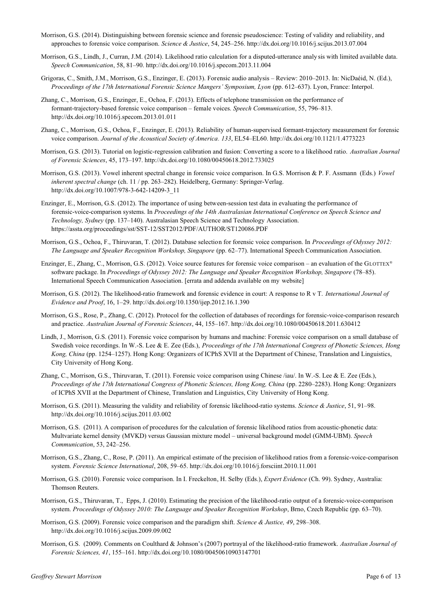- Morrison, G.S. (2014). Distinguishing between forensic science and forensic pseudoscience: Testing of validity and reliability, and approaches to forensic voice comparison. *Science & Justice*, 54, 245–256. http://dx.doi.org/10.1016/j.scijus.2013.07.004
- Morrison, G.S., Lindh, J., Curran, J.M. (2014). Likelihood ratio calculation for a disputed-utterance analy sis with limited available data. *Speech Communication*, 58, 81–90. http://dx.doi.org/10.1016/j.specom.2013.11.004
- Grigoras, C., Smith, J.M., Morrison, G.S., Enzinger, E. (2013). Forensic audio analysis Review: 2010–2013. In: NicDaéid, N. (Ed.), *Proceedings of the 17th International Forensic Science Mangers' Symposium, Lyon* (pp. 612–637). Lyon, France: Interpol.
- Zhang, C., Morrison, G.S., Enzinger, E., Ochoa, F. (2013). Effects of telephone transmission on the performance of formant-trajectory-based forensic voice comparison – female voices. *Speech Communication*, 55, 796–813. http://dx.doi.org/10.1016/j.specom.2013.01.011
- Zhang, C., Morrison, G.S., Ochoa, F., Enzinger, E. (2013). Reliability of human-supervised formant-trajectory measurement for forensic voice comparison. *Journal of the Acoustical Society of America. 133*, EL54–EL60. http://dx.doi.org/10.1121/1.4773223
- Morrison, G.S. (2013). Tutorial on logistic-regression calibration and fusion: Converting a score to a likelihood ratio. *Australian Journal of Forensic Sciences*, 45, 173–197. http://dx.doi.org/10.1080/00450618.2012.733025
- Morrison, G.S. (2013). Vowel inherent spectral change in forensic voice comparison. In G.S. Morrison & P. F. Assmann (Eds.) *Vowel inherent spectral change* (ch. 11 / pp. 263–282). Heidelberg, Germany: Springer-Verlag. http://dx.doi.org/10.1007/978-3-642-14209-3\_11
- Enzinger, E., Morrison, G.S. (2012). The importance of using between-session test data in evaluating the performance of forensic-voice-comparison systems. In *Proceedings of the 14th Australasian International Conference on Speech Science and Technology, Sydney* (pp. 137–140). Australasian Speech Science and Technology Association. https://assta.org/proceedings/sst/SST-12/SST2012/PDF/AUTHOR/ST120086.PDF
- Morrison, G.S., Ochoa, F., Thiruvaran, T. (2012). Database selection for forensic voice comparison. In *Proceedings of Odyssey 2012: The Language and Speaker Recognition Workshop, Singapore* (pp. 62–77). International Speech Communication Association.
- Enzinger, E., Zhang, C., Morrison, G.S. (2012). Voice source features for forensic voice comparison an evaluation of the GLOTTEX® software package. In *Proceedings of Odyssey 2012: The Language and Speaker Recognition Workshop, Singapore* (78–85). International Speech Communication Association. [errata and addenda available on my website]
- Morrison, G.S. (2012). The likelihood-ratio framework and forensic evidence in court: A response to R v T. *International Journal of Evidence and Proof*, 16, 1–29. http://dx.doi.org/10.1350/ijep.2012.16.1.390
- Morrison, G.S., Rose, P., Zhang, C. (2012). Protocol for the collection of databases of recordings for forensic-voice-comparison research and practice. *Australian Journal of Forensic Sciences*, 44, 155–167. http://dx.doi.org/10.1080/00450618.2011.630412
- Lindh, J., Morrison, G.S. (2011). Forensic voice comparison by humans and machine: Forensic voice comparison on a small database of Swedish voice recordings. In W.-S. Lee & E. Zee (Eds.), *Proceedings of the 17th International Congress of Phonetic Sciences, Hong Kong, China* (pp. 1254–1257). Hong Kong: Organizers of ICPhS XVII at the Department of Chinese, Translation and Linguistics, City University of Hong Kong.
- Zhang, C., Morrison, G.S., Thiruvaran, T. (2011). Forensic voice comparison using Chinese /iau/. In W.-S. Lee & E. Zee (Eds.), *Proceedings of the 17th International Congress of Phonetic Sciences, Hong Kong, China* (pp. 2280–2283). Hong Kong: Organizers of ICPhS XVII at the Department of Chinese, Translation and Linguistics, City University of Hong Kong.
- Morrison, G.S. (2011). Measuring the validity and reliability of forensic likelihood-ratio systems. *Science & Justice*, 51, 91–98. http://dx.doi.org/10.1016/j.scijus.2011.03.002
- Morrison, G.S. (2011). A comparison of procedures for the calculation of forensic likelihood ratios from acoustic-phonetic data: Multvariate kernel density (MVKD) versus Gaussian mixture model – universal background model (GMM-UBM). *Speech Communication*, 53, 242–256.
- Morrison, G.S., Zhang, C., Rose, P. (2011). An empirical estimate of the precision of likelihood ratios from a forensic-voice-comparison system. *Forensic Science International*, 208, 59–65. http://dx.doi.org/10.1016/j.forsciint.2010.11.001
- Morrison, G.S. (2010). Forensic voice comparison. In I. Freckelton, H. Selby (Eds.), *Expert Evidence* (Ch. 99). Sydney, Australia: Thomson Reuters.
- Morrison, G.S., Thiruvaran, T., Epps, J. (2010). Estimating the precision of the likelihood-ratio output of a forensic-voice-comparison system. *Proceedings of Odyssey 2010: The Language and Speaker Recognition Workshop*, Brno, Czech Republic (pp. 63–70).
- Morrison, G.S. (2009). Forensic voice comparison and the paradigm shift. *Science & Justice, 49*, 298–308. http://dx.doi.org/10.1016/j.scijus.2009.09.002
- Morrison, G.S. (2009). Comments on Coulthard & Johnson's (2007) portrayal of the likelihood-ratio framework. *Australian Journal of Forensic Sciences, 41*, 155–161. http://dx.doi.org/10.1080/00450610903147701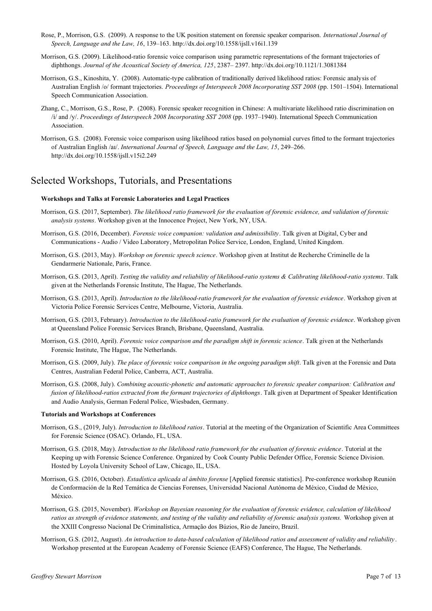- Rose, P., Morrison, G.S. (2009). A response to the UK position statement on forensic speaker comparison. *International Journal of Speech, Language and the Law, 16*, 139–163. http://dx.doi.org/10.1558/ijsll.v16i1.139
- Morrison, G.S. (2009). Likelihood-ratio forensic voice comparison using parametric representations of the formant trajectories of diphthongs. *Journal of the Acoustical Society of America, 125*, 2387– 2397. http://dx.doi.org/10.1121/1.3081384
- Morrison, G.S., Kinoshita, Y. (2008). Automatic-type calibration of traditionally derived likelihood ratios: Forensic analysis of Australian English /o/ formant trajectories. *Proceedings of Interspeech 2008 Incorporating SST 2008* (pp. 1501–1504). International Speech Communication Association.
- Zhang, C., Morrison, G.S., Rose, P. (2008). Forensic speaker recognition in Chinese: A multivariate likelihood ratio discrimination on /i/ and /y/. *Proceedings of Interspeech 2008 Incorporating SST 2008* (pp. 1937–1940). International Speech Communication Association.
- Morrison, G.S. (2008). Forensic voice comparison using likelihood ratios based on polynomial curves fitted to the formant trajectories of Australian English /aI/. *International Journal of Speech, Language and the Law, 15*, 249–266. http://dx.doi.org/10.1558/ijsll.v15i2.249

## Selected Workshops, Tutorials, and Presentations

#### **Workshops and Talks at Forensic Laboratories and Legal Practices**

- Morrison, G.S. (2017, September). *The likelihood ratio framework for the evaluation of forensic evidence, and validation of forensic analysis systems*. Workshop given at the Innocence Project, New York, NY, USA.
- Morrison, G.S. (2016, December). *Forensic voice companion: validation and admissibility*. Talk given at Digital, Cyber and Communications - Audio / Video Laboratory, Metropolitan Police Service, London, England, United Kingdom.
- Morrison, G.S. (2013, May). *Workshop on forensic speech science*. Workshop given at Institut de Recherche Criminelle de la Gendarmerie Nationale, Paris, France.
- Morrison, G.S. (2013, April). *Testing the validity and reliability of likelihood-ratio systems & Calibrating likelihood-ratio systems*. Talk given at the Netherlands Forensic Institute, The Hague, The Netherlands.
- Morrison, G.S. (2013, April). *Introduction to the likelihood-ratio framework for the evaluation of forensic evidence*. Workshop given at Victoria Police Forensic Services Centre, Melbourne, Victoria, Australia.
- Morrison, G.S. (2013, February). *Introduction to the likelihood-ratio framework for the evaluation of forensic evidence*. Workshop given at Queensland Police Forensic Services Branch, Brisbane, Queensland, Australia.
- Morrison, G.S. (2010, April). *Forensic voice comparison and the paradigm shift in forensic science*. Talk given at the Netherlands Forensic Institute, The Hague, The Netherlands.
- Morrison, G.S. (2009, July). *The place of forensic voice comparison in the ongoing paradigm shift*. Talk given at the Forensic and Data Centres, Australian Federal Police, Canberra, ACT, Australia.
- Morrison, G.S. (2008, July). *Combining acoustic-phonetic and automatic approaches to forensic speaker comparison: Calibration and fusion of likelihood-ratios extracted from the formant trajectories of diphthongs*. Talk given at Department of Speaker Identification and Audio Analysis, German Federal Police, Wiesbaden, Germany.

#### **Tutorials and Workshops at Conferences**

- Morrison, G.S., (2019, July). *Introduction to likelihood ratios*. Tutorial at the meeting of the Organization of Scientific Area Committees for Forensic Science (OSAC). Orlando, FL, USA.
- Morrison, G.S. (2018, May). *Introduction to the likelihood ratio framework for the evaluation of forensic evidence*. Tutorial at the Keeping up with Forensic Science Conference. Organized by Cook County Public Defender Office, Forensic Science Division. Hosted by Loyola University School of Law, Chicago, IL, USA.
- Morrison, G.S. (2016, October). *Estadística aplicada al ámbito forense* [Applied forensic statistics]. Pre-conference workshop Reunión de Conformación de la Red Temática de Ciencias Forenses, Universidad Nacional Autónoma de México, Ciudad de México, México.
- Morrison, G.S. (2015, November). *Workshop on Bayesian reasoning for the evaluation of forensic evidence, calculation of likelihood ratios as strength of evidence statements, and testing of the validity and reliability of forensic analysis systems.* Workshop given at the XXIII Congresso Nacional De Criminalística, Armação dos Búzios, Rio de Janeiro, Brazil.
- Morrison, G.S. (2012, August). *An introduction to data-based calculation of likelihood ratios and assessment of validity and reliability*. Workshop presented at the European Academy of Forensic Science (EAFS) Conference, The Hague, The Netherlands.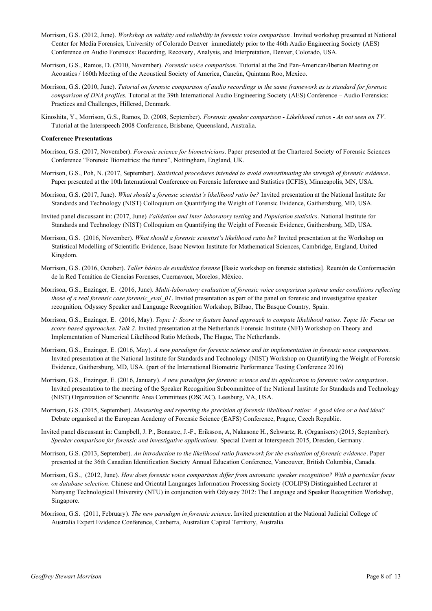- Morrison, G.S. (2012, June). *Workshop on validity and reliability in forensic voice comparison*. Invited workshop presented at National Center for Media Forensics, University of Colorado Denver immediately prior to the 46th Audio Engineering Society (AES) Conference on Audio Forensics: Recording, Recovery, Analysis, and Interpretation, Denver, Colorado, USA.
- Morrison, G.S., Ramos, D. (2010, November). *Forensic voice comparison.* Tutorial at the 2nd Pan-American/Iberian Meeting on Acoustics / 160th Meeting of the Acoustical Society of America, Cancún, Quintana Roo, Mexico.
- Morrison, G.S. (2010, June). *Tutorial on forensic comparison of audio recordings in the same framework as is standard for forensic comparison of DNA profiles.* Tutorial at the 39th International Audio Engineering Society (AES) Conference – Audio Forensics: Practices and Challenges, Hillerød, Denmark.
- Kinoshita, Y., Morrison, G.S., Ramos, D. (2008, September). *Forensic speaker comparison Likelihood ratios As not seen on TV*. Tutorial at the Interspeech 2008 Conference, Brisbane, Queensland, Australia.

#### **Conference Presentations**

- Morrison, G.S. (2017, November). *Forensic science for biometricians*. Paper presented at the Chartered Society of Forensic Sciences Conference "Forensic Biometrics: the future", Nottingham, England, UK.
- Morrison, G.S., Poh, N. (2017, September). *Statistical procedures intended to avoid overestimating the strength of forensic evidence*. Paper presented at the 10th International Conference on Forensic Inference and Statistics (ICFIS), Minneapolis, MN, USA.
- Morrison, G.S. (2017, June). *What should a forensic scientist's likelihood ratio be?* Invited presentation at the National Institute for Standards and Technology (NIST) Colloquium on Quantifying the Weight of Forensic Evidence, Gaithersburg, MD, USA.
- Invited panel discussant in: (2017, June) *Validation and Inter-laboratory testing* and *Population statistics*. National Institute for Standards and Technology (NIST) Colloquium on Quantifying the Weight of Forensic Evidence, Gaithersburg, MD, USA.
- Morrison, G.S. (2016, November). *What should a forensic scientist's likelihood ratio be?* Invited presentation at the Workshop on Statistical Modelling of Scientific Evidence, Isaac Newton Institute for Mathematical Sciences, Cambridge, England, United Kingdom.
- Morrison, G.S. (2016, October). *Taller básico de estadística forense* [Basic workshop on forensic statistics]. Reunión de Conformación de la Red Temática de Ciencias Forenses, Cuernavaca, Morelos, México.
- Morrison, G.S., Enzinger, E. (2016, June). *Multi-laboratory evaluation of forensic voice comparison systems under conditions reflecting those of a real forensic case forensic eval 01*. Invited presentation as part of the panel on forensic and investigative speaker recognition, Odyssey Speaker and Language Recognition Workshop, Bilbao, The Basque Country, Spain.
- Morrison, G.S., Enzinger, E. (2016, May). *Topic 1: Score vs feature based approach to compute likelihood ratios. Topic 1b: Focus on score-based approaches. Talk 2*. Invited presentation at the Netherlands Forensic Institute (NFI) Workshop on Theory and Implementation of Numerical Likelihood Ratio Methods, The Hague, The Netherlands.
- Morrison, G.S., Enzinger, E. (2016, May). *A new paradigm for forensic science and its implementation in forensic voice comparison*. Invited presentation at the National Institute for Standards and Technology (NIST) Workshop on Quantifying the Weight of Forensic Evidence, Gaithersburg, MD, USA. (part of the International Biometric Performance Testing Conference 2016)
- Morrison, G.S., Enzinger, E. (2016, January). *A new paradigm for forensic science and its application to forensic voice comparison*. Invited presentation to the meeting of the Speaker Recognition Subcommittee of the National Institute for Standards and Technology (NIST) Organization of Scientific Area Committees (OSCAC). Leesburg, VA, USA.
- Morrison, G.S. (2015, September). *Measuring and reporting the precision of forensic likelihood ratios: A good idea or a bad idea?* Debate organised at the European Academy of Forensic Science (EAFS) Conference, Prague, Czech Republic.
- Invited panel discussant in: Campbell, J. P., Bonastre, J.-F., Eriksson, A, Nakasone H., Schwartz, R. (Organisers) (2015, September). *Speaker comparison for forensic and investigative applications*. Special Event at Interspeech 2015, Dresden, Germany.
- Morrison, G.S. (2013, September). *An introduction to the likelihood-ratio framework for the evaluation of forensic evidence*. Paper presented at the 36th Canadian Identification Society Annual Education Conference, Vancouver, British Columbia, Canada.
- Morrison, G.S., (2012, June). *How does forensic voice comparison differ from automatic speaker recognition? With a particular focus on database selection*. Chinese and Oriental Languages Information Processing Society (COLIPS) Distinguished Lecturer at Nanyang Technological University (NTU) in conjunction with Odyssey 2012: The Language and Speaker Recognition Workshop, Singapore.
- Morrison, G.S. (2011, February). *The new paradigm in forensic science*. Invited presentation at the National Judicial College of Australia Expert Evidence Conference, Canberra, Australian Capital Territory, Australia.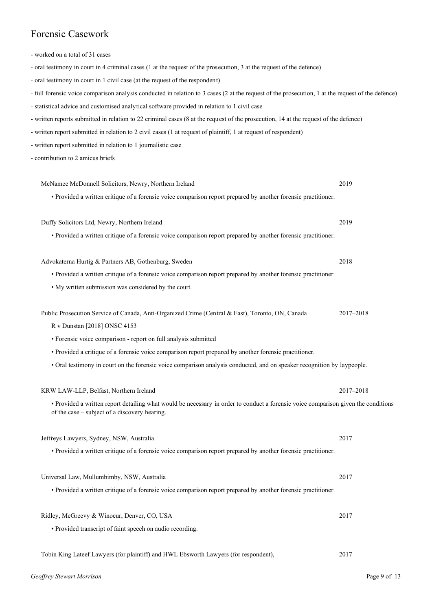## Forensic Casework

- worked on a total of 31 cases
- oral testimony in court in 4 criminal cases (1 at the request of the prosecution, 3 at the request of the defence)
- oral testimony in court in 1 civil case (at the request of the respondent)
- full forensic voice comparison analysis conducted in relation to 3 cases (2 at the request of the prosecution, 1 at the request of the defence)
- statistical advice and customised analytical software provided in relation to 1 civil case
- written reports submitted in relation to 22 criminal cases (8 at the request of the prosecution, 14 at the request of the defence)
- written report submitted in relation to 2 civil cases (1 at request of plaintiff, 1 at request of respondent)
- written report submitted in relation to 1 journalistic case
- contribution to 2 amicus briefs

| McNamee McDonnell Solicitors, Newry, Northern Ireland                                                                                                                               | 2019      |
|-------------------------------------------------------------------------------------------------------------------------------------------------------------------------------------|-----------|
| • Provided a written critique of a forensic voice comparison report prepared by another forensic practitioner.                                                                      |           |
| Duffy Solicitors Ltd, Newry, Northern Ireland                                                                                                                                       | 2019      |
| • Provided a written critique of a forensic voice comparison report prepared by another forensic practitioner.                                                                      |           |
|                                                                                                                                                                                     |           |
| Advokaterna Hurtig & Partners AB, Gothenburg, Sweden                                                                                                                                | 2018      |
| • Provided a written critique of a forensic voice comparison report prepared by another forensic practitioner.                                                                      |           |
| • My written submission was considered by the court.                                                                                                                                |           |
|                                                                                                                                                                                     |           |
| Public Prosecution Service of Canada, Anti-Organized Crime (Central & East), Toronto, ON, Canada                                                                                    | 2017-2018 |
| R v Dunstan [2018] ONSC 4153                                                                                                                                                        |           |
| • Forensic voice comparison - report on full analysis submitted                                                                                                                     |           |
| • Provided a critique of a forensic voice comparison report prepared by another forensic practitioner.                                                                              |           |
| • Oral testimony in court on the forensic voice comparison analysis conducted, and on speaker recognition by laypeople.                                                             |           |
| KRW LAW-LLP, Belfast, Northern Ireland                                                                                                                                              | 2017-2018 |
| • Provided a written report detailing what would be necessary in order to conduct a forensic voice comparison given the conditions<br>of the case – subject of a discovery hearing. |           |
| Jeffreys Lawyers, Sydney, NSW, Australia                                                                                                                                            | 2017      |
| • Provided a written critique of a forensic voice comparison report prepared by another forensic practitioner.                                                                      |           |
| Universal Law, Mullumbimby, NSW, Australia                                                                                                                                          | 2017      |
| • Provided a written critique of a forensic voice comparison report prepared by another forensic practitioner.                                                                      |           |
| Ridley, McGreevy & Winocur, Denver, CO, USA                                                                                                                                         | 2017      |
| • Provided transcript of faint speech on audio recording.                                                                                                                           |           |
|                                                                                                                                                                                     |           |

Tobin King Lateef Lawyers (for plaintiff) and HWL Ebsworth Lawyers (for respondent), 2017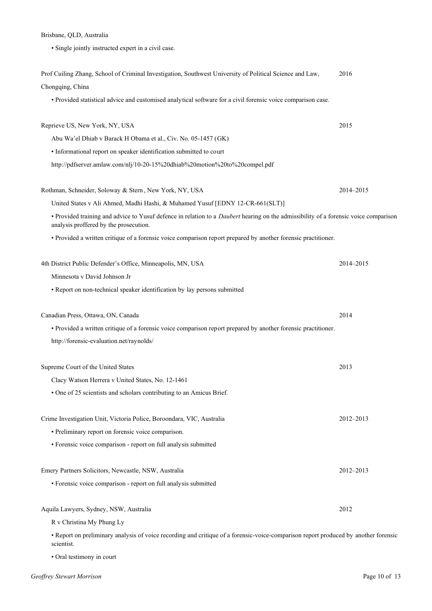#### Brisbane, QLD, Australia

• Single jointly instructed expert in a civil case.

| Prof Cuiling Zhang, School of Criminal Investigation, Southwest University of Political Science and Law,                                                                              | 2016      |
|---------------------------------------------------------------------------------------------------------------------------------------------------------------------------------------|-----------|
| Chongqing, China                                                                                                                                                                      |           |
| • Provided statistical advice and customised analytical software for a civil forensic voice comparison case.                                                                          |           |
| Reprieve US, New York, NY, USA                                                                                                                                                        | 2015      |
| Abu Wa'el Dhiab v Barack H Obama et al., Civ. No. 05-1457 (GK)                                                                                                                        |           |
| • Informational report on speaker identification submitted to court                                                                                                                   |           |
| http://pdfserver.amlaw.com/nlj/10-20-15%20dhiab%20motion%20to%20compel.pdf                                                                                                            |           |
| Rothman, Schneider, Soloway & Stern, New York, NY, USA                                                                                                                                | 2014-2015 |
| United States v Ali Ahmed, Madhi Hashi, & Muhamed Yusuf [EDNY 12-CR-661(SLT)]                                                                                                         |           |
| • Provided training and advice to Yusuf defence in relation to a <i>Daubert</i> hearing on the admissibility of a forensic voice comparison<br>analysis proffered by the prosecution. |           |
| • Provided a written critique of a forensic voice comparison report prepared by another forensic practitioner.                                                                        |           |
| 4th District Public Defender's Office, Minneapolis, MN, USA                                                                                                                           | 2014-2015 |
| Minnesota y David Johnson Jr                                                                                                                                                          |           |
| • Report on non-technical speaker identification by lay persons submitted                                                                                                             |           |
| Canadian Press, Ottawa, ON, Canada                                                                                                                                                    | 2014      |
| • Provided a written critique of a forensic voice comparison report prepared by another forensic practitioner.                                                                        |           |
| http://forensic-evaluation.net/raynolds/                                                                                                                                              |           |
| Supreme Court of the United States                                                                                                                                                    | 2013      |
| Clacy Watson Herrera v United States, No. 12-1461                                                                                                                                     |           |
| • One of 25 scientists and scholars contributing to an Amicus Brief.                                                                                                                  |           |
| Crime Investigation Unit, Victoria Police, Boroondara, VIC, Australia                                                                                                                 | 2012-2013 |
| • Preliminary report on forensic voice comparison.                                                                                                                                    |           |
| • Forensic voice comparison - report on full analysis submitted                                                                                                                       |           |
| Emery Partners Solicitors, Newcastle, NSW, Australia                                                                                                                                  | 2012-2013 |
| • Forensic voice comparison - report on full analysis submitted                                                                                                                       |           |
| Aquila Lawyers, Sydney, NSW, Australia                                                                                                                                                | 2012      |
| R v Christina My Phung Ly                                                                                                                                                             |           |
| • Report on preliminary analysis of voice recording and critique of a forensic-voice-comparison report produced by another forensic<br>scientist.                                     |           |

• Oral testimony in court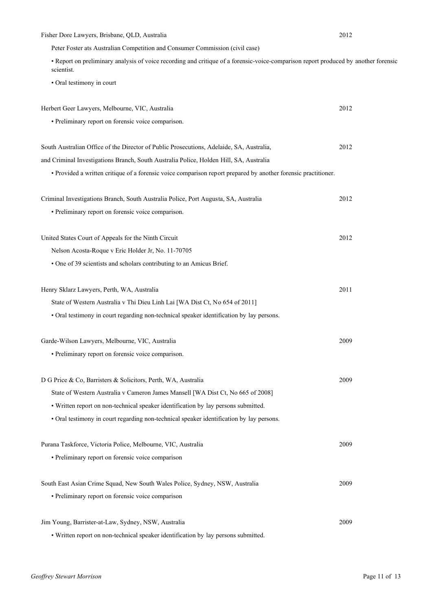| Fisher Dore Lawyers, Brisbane, QLD, Australia                                                                                                     | 2012 |
|---------------------------------------------------------------------------------------------------------------------------------------------------|------|
| Peter Foster ats Australian Competition and Consumer Commission (civil case)                                                                      |      |
| • Report on preliminary analysis of voice recording and critique of a forensic-voice-comparison report produced by another forensic<br>scientist. |      |
| · Oral testimony in court                                                                                                                         |      |
| Herbert Geer Lawyers, Melbourne, VIC, Australia                                                                                                   | 2012 |
| • Preliminary report on forensic voice comparison.                                                                                                |      |
| South Australian Office of the Director of Public Prosecutions, Adelaide, SA, Australia,                                                          | 2012 |
| and Criminal Investigations Branch, South Australia Police, Holden Hill, SA, Australia                                                            |      |
| • Provided a written critique of a forensic voice comparison report prepared by another forensic practitioner.                                    |      |
| Criminal Investigations Branch, South Australia Police, Port Augusta, SA, Australia                                                               | 2012 |
| • Preliminary report on forensic voice comparison.                                                                                                |      |
| United States Court of Appeals for the Ninth Circuit                                                                                              | 2012 |
| Nelson Acosta-Roque v Eric Holder Jr, No. 11-70705                                                                                                |      |
| • One of 39 scientists and scholars contributing to an Amicus Brief.                                                                              |      |
| Henry Sklarz Lawyers, Perth, WA, Australia                                                                                                        | 2011 |
| State of Western Australia v Thi Dieu Linh Lai [WA Dist Ct, No 654 of 2011]                                                                       |      |
| • Oral testimony in court regarding non-technical speaker identification by lay persons.                                                          |      |
| Garde-Wilson Lawyers, Melbourne, VIC, Australia                                                                                                   | 2009 |
| • Preliminary report on forensic voice comparison.                                                                                                |      |
| D G Price & Co, Barristers & Solicitors, Perth, WA, Australia                                                                                     | 2009 |
| State of Western Australia v Cameron James Mansell [WA Dist Ct, No 665 of 2008]                                                                   |      |
| • Written report on non-technical speaker identification by lay persons submitted.                                                                |      |
| • Oral testimony in court regarding non-technical speaker identification by lay persons.                                                          |      |
| Purana Taskforce, Victoria Police, Melbourne, VIC, Australia                                                                                      | 2009 |
| • Preliminary report on forensic voice comparison                                                                                                 |      |
| South East Asian Crime Squad, New South Wales Police, Sydney, NSW, Australia                                                                      | 2009 |
| • Preliminary report on forensic voice comparison                                                                                                 |      |
| Jim Young, Barrister-at-Law, Sydney, NSW, Australia                                                                                               | 2009 |
| · Written report on non-technical speaker identification by lay persons submitted.                                                                |      |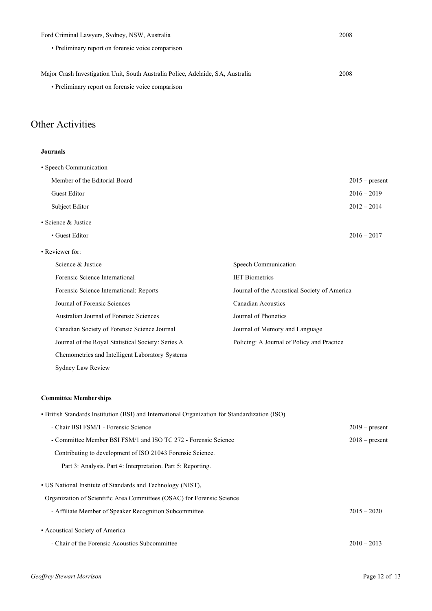| Ford Criminal Lawyers, Sydney, NSW, Australia                                   | 2008             |
|---------------------------------------------------------------------------------|------------------|
| • Preliminary report on forensic voice comparison                               |                  |
|                                                                                 |                  |
| Major Crash Investigation Unit, South Australia Police, Adelaide, SA, Australia | 2008             |
| • Preliminary report on forensic voice comparison                               |                  |
| <b>Other Activities</b>                                                         |                  |
| <b>Journals</b>                                                                 |                  |
| • Speech Communication                                                          |                  |
| Member of the Editorial Board                                                   | $2015$ – present |

Guest Editor 2016 – 2019 Subject Editor 2012 – 2014 • Science & Justice • Guest Editor 2016 – 2017

• Reviewer for: Science & Justice Forensic Science International Forensic Science International: Reports Journal of Forensic Sciences Australian Journal of Forensic Sciences Canadian Society of Forensic Science Journal Journal of the Royal Statistical Society: Series A Chemometrics and Intelligent Laboratory Systems Sydney Law Review Speech Communication IET Biometrics Journal of the Acoustical Society of America Canadian Acoustics Journal of Phonetics Journal of Memory and Language Policing: A Journal of Policy and Practice

#### **Committee Memberships**

| • British Standards Institution (BSI) and International Organization for Standardization (ISO)                                        |                  |  |
|---------------------------------------------------------------------------------------------------------------------------------------|------------------|--|
| - Chair BSI FSM/1 - Forensic Science                                                                                                  | $2019$ – present |  |
| - Committee Member BSI FSM/1 and ISO TC 272 - Forensic Science                                                                        | $2018$ – present |  |
| Contributing to development of ISO 21043 Forensic Science.                                                                            |                  |  |
| Part 3: Analysis, Part 4: Interpretation, Part 5: Reporting.                                                                          |                  |  |
| • US National Institute of Standards and Technology (NIST),<br>Organization of Scientific Area Committees (OSAC) for Forensic Science |                  |  |
| - Affiliate Member of Speaker Recognition Subcommittee                                                                                | $2015 - 2020$    |  |
| • Acoustical Society of America                                                                                                       |                  |  |
| - Chair of the Forensic Acoustics Subcommittee                                                                                        | $2010 - 2013$    |  |